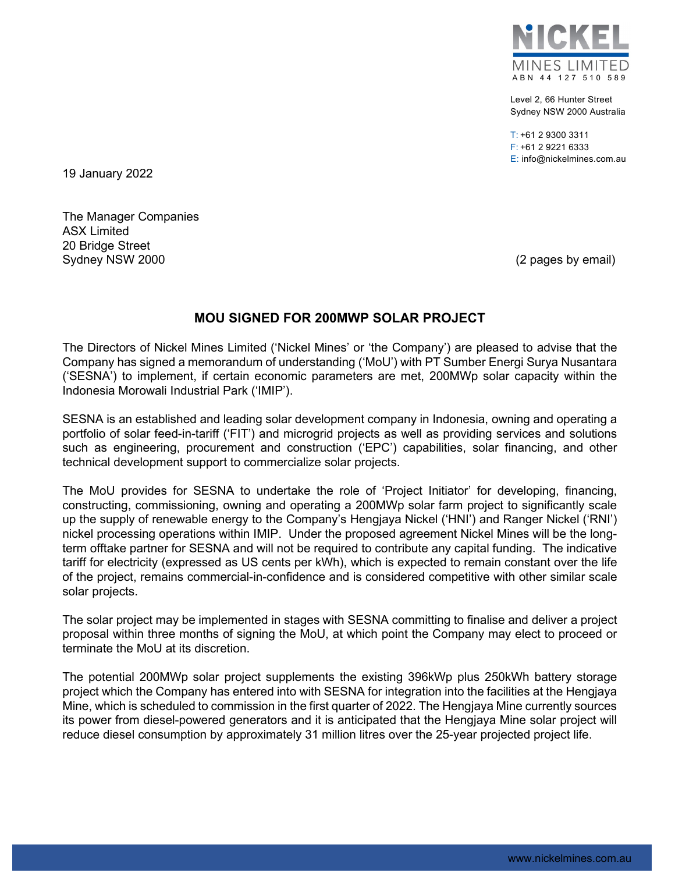

Level 2, 66 Hunter Street Sydney NSW 2000 Australia

 $T: +61$  2 9300 3311 F: +61 2 9221 6333 E: info@nickelmines.com.au

19 January 2022

The Manager Companies ASX Limited 20 Bridge Street Sydney NSW 2000 **(2 pages by email)** Sydney NSW 2000

## **MOU SIGNED FOR 200MWP SOLAR PROJECT**

The Directors of Nickel Mines Limited ('Nickel Mines' or 'the Company') are pleased to advise that the Company has signed a memorandum of understanding ('MoU') with PT Sumber Energi Surya Nusantara ('SESNA') to implement, if certain economic parameters are met, 200MWp solar capacity within the Indonesia Morowali Industrial Park ('IMIP').

SESNA is an established and leading solar development company in Indonesia, owning and operating a portfolio of solar feed-in-tariff ('FIT') and microgrid projects as well as providing services and solutions such as engineering, procurement and construction ('EPC') capabilities, solar financing, and other technical development support to commercialize solar projects.

The MoU provides for SESNA to undertake the role of 'Project Initiator' for developing, financing, constructing, commissioning, owning and operating a 200MWp solar farm project to significantly scale up the supply of renewable energy to the Company's Hengjaya Nickel ('HNI') and Ranger Nickel ('RNI') nickel processing operations within IMIP. Under the proposed agreement Nickel Mines will be the longterm offtake partner for SESNA and will not be required to contribute any capital funding. The indicative tariff for electricity (expressed as US cents per kWh), which is expected to remain constant over the life of the project, remains commercial-in-confidence and is considered competitive with other similar scale solar projects.

The solar project may be implemented in stages with SESNA committing to finalise and deliver a project proposal within three months of signing the MoU, at which point the Company may elect to proceed or terminate the MoU at its discretion.

The potential 200MWp solar project supplements the existing 396kWp plus 250kWh battery storage project which the Company has entered into with SESNA for integration into the facilities at the Hengjaya Mine, which is scheduled to commission in the first quarter of 2022. The Hengjaya Mine currently sources its power from diesel-powered generators and it is anticipated that the Hengjaya Mine solar project will reduce diesel consumption by approximately 31 million litres over the 25-year projected project life.